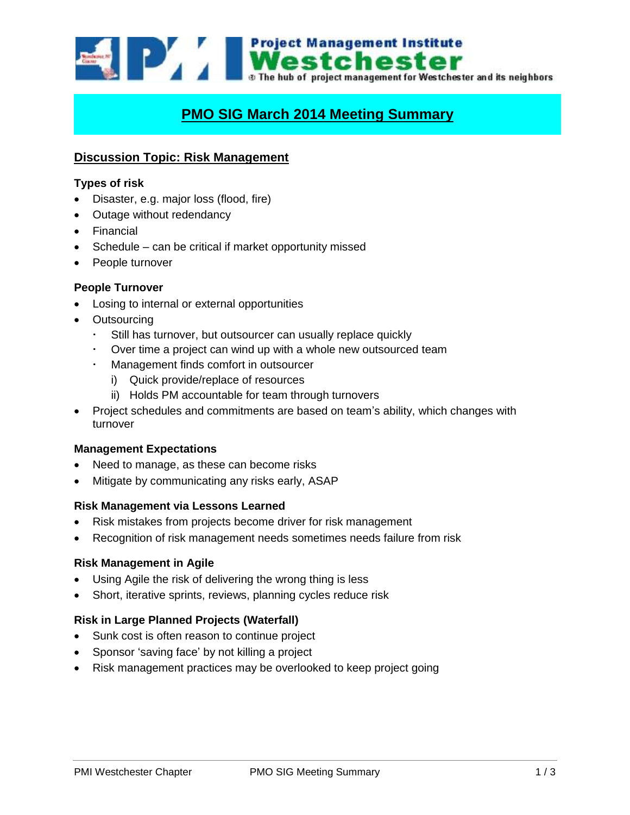

# **PMO SIG March 2014 Meeting Summary**

## **Discussion Topic: Risk Management**

#### **Types of risk**

- Disaster, e.g. major loss (flood, fire)
- Outage without redendancy
- Financial
- Schedule can be critical if market opportunity missed
- People turnover

#### **People Turnover**

- Losing to internal or external opportunities
- Outsourcing
	- Still has turnover, but outsourcer can usually replace quickly
	- Over time a project can wind up with a whole new outsourced team
	- Management finds comfort in outsourcer
		- i) Quick provide/replace of resources
		- ii) Holds PM accountable for team through turnovers
- Project schedules and commitments are based on team's ability, which changes with turnover

#### **Management Expectations**

- Need to manage, as these can become risks
- Mitigate by communicating any risks early, ASAP

#### **Risk Management via Lessons Learned**

- Risk mistakes from projects become driver for risk management
- Recognition of risk management needs sometimes needs failure from risk

#### **Risk Management in Agile**

- Using Agile the risk of delivering the wrong thing is less
- Short, iterative sprints, reviews, planning cycles reduce risk

## **Risk in Large Planned Projects (Waterfall)**

- Sunk cost is often reason to continue project
- Sponsor 'saving face' by not killing a project
- Risk management practices may be overlooked to keep project going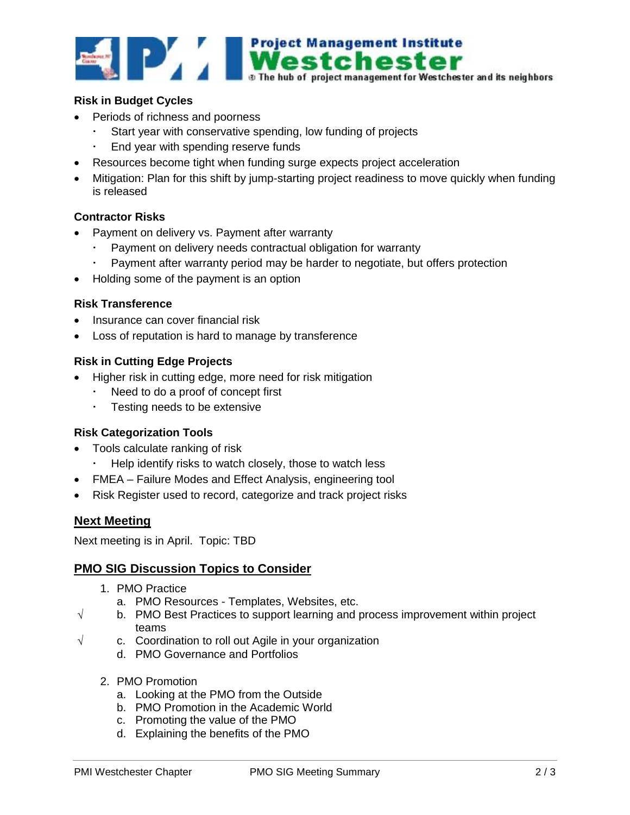

## **Risk in Budget Cycles**

- Periods of richness and poorness
	- Start year with conservative spending, low funding of projects
	- End year with spending reserve funds
- Resources become tight when funding surge expects project acceleration
- Mitigation: Plan for this shift by jump-starting project readiness to move quickly when funding is released

## **Contractor Risks**

- Payment on delivery vs. Payment after warranty
	- Payment on delivery needs contractual obligation for warranty
	- Payment after warranty period may be harder to negotiate, but offers protection
- Holding some of the payment is an option

#### **Risk Transference**

- Insurance can cover financial risk
- Loss of reputation is hard to manage by transference

## **Risk in Cutting Edge Projects**

- Higher risk in cutting edge, more need for risk mitigation
	- Need to do a proof of concept first
	- Testing needs to be extensive

## **Risk Categorization Tools**

- Tools calculate ranking of risk
	- Help identify risks to watch closely, those to watch less
- FMEA Failure Modes and Effect Analysis, engineering tool
- Risk Register used to record, categorize and track project risks

## **Next Meeting**

Next meeting is in April. Topic: TBD

## **PMO SIG Discussion Topics to Consider**

- 1. PMO Practice
	- a. PMO Resources Templates, Websites, etc.
- $\sqrt{ }$  b. PMO Best Practices to support learning and process improvement within project teams
- $\sqrt{ }$  c. Coordination to roll out Agile in your organization
	- d. PMO Governance and Portfolios
	- 2. PMO Promotion
		- a. Looking at the PMO from the Outside
		- b. PMO Promotion in the Academic World
		- c. Promoting the value of the PMO
		- d. Explaining the benefits of the PMO